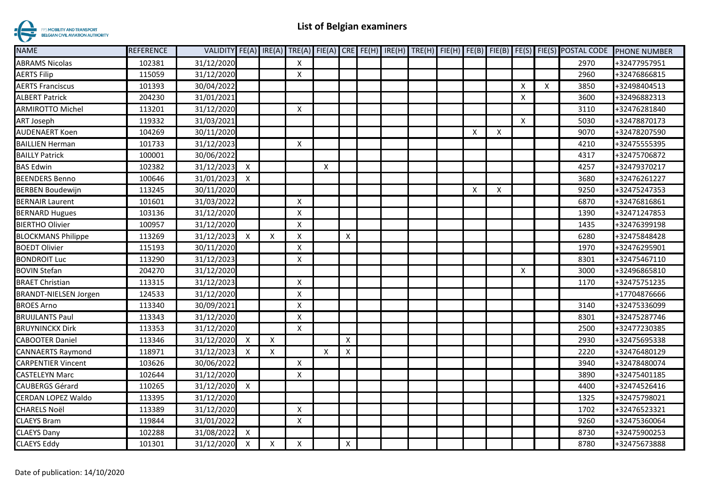

| <b>NAME</b>                  | <b>REFERENCE</b> |            |                           |   |                           |                           |              |  |  |   |                    |                           |   | VALIDITY FE(A) IRE(A) TRE(A) FIE(A) CRE FE(H) IRE(H) TRE(H) FIE(H) FE(B) FIE(B) FE(S) FIE(S) POSTAL CODE | <b>PHONE NUMBER</b> |
|------------------------------|------------------|------------|---------------------------|---|---------------------------|---------------------------|--------------|--|--|---|--------------------|---------------------------|---|----------------------------------------------------------------------------------------------------------|---------------------|
| <b>ABRAMS Nicolas</b>        | 102381           | 31/12/2020 |                           |   | $\times$                  |                           |              |  |  |   |                    |                           |   | 2970                                                                                                     | +32477957951        |
| <b>AERTS Filip</b>           | 115059           | 31/12/2020 |                           |   | X                         |                           |              |  |  |   |                    |                           |   | 2960                                                                                                     | +32476866815        |
| <b>AERTS Franciscus</b>      | 101393           | 30/04/2022 |                           |   |                           |                           |              |  |  |   |                    | $\boldsymbol{\mathsf{X}}$ | X | 3850                                                                                                     | +32498404513        |
| <b>ALBERT Patrick</b>        | 204230           | 31/01/2021 |                           |   |                           |                           |              |  |  |   |                    | $\boldsymbol{\mathsf{X}}$ |   | 3600                                                                                                     | +32496882313        |
| <b>ARMIROTTO Michel</b>      | 113201           | 31/12/2020 |                           |   | X                         |                           |              |  |  |   |                    |                           |   | 3110                                                                                                     | +32476281840        |
| <b>ART Joseph</b>            | 119332           | 31/03/2021 |                           |   |                           |                           |              |  |  |   |                    | $\boldsymbol{\mathsf{X}}$ |   | 5030                                                                                                     | +32478870173        |
| <b>AUDENAERT Koen</b>        | 104269           | 30/11/2020 |                           |   |                           |                           |              |  |  | X | X                  |                           |   | 9070                                                                                                     | +32478207590        |
| <b>BAILLIEN Herman</b>       | 101733           | 31/12/2023 |                           |   | X                         |                           |              |  |  |   |                    |                           |   | 4210                                                                                                     | +32475555395        |
| <b>BAILLY Patrick</b>        | 100001           | 30/06/2022 |                           |   |                           |                           |              |  |  |   |                    |                           |   | 4317                                                                                                     | +32475706872        |
| <b>BAS Edwin</b>             | 102382           | 31/12/2023 | $\boldsymbol{\mathsf{X}}$ |   |                           | X                         |              |  |  |   |                    |                           |   | 4257                                                                                                     | +32479370217        |
| <b>BEENDERS Benno</b>        | 100646           | 31/01/2023 | $\times$                  |   |                           |                           |              |  |  |   |                    |                           |   | 3680                                                                                                     | +32476261227        |
| <b>BERBEN Boudewijn</b>      | 113245           | 30/11/2020 |                           |   |                           |                           |              |  |  | х | $\pmb{\mathsf{X}}$ |                           |   | 9250                                                                                                     | +32475247353        |
| <b>BERNAIR Laurent</b>       | 101601           | 31/03/2022 |                           |   | X                         |                           |              |  |  |   |                    |                           |   | 6870                                                                                                     | +32476816861        |
| <b>BERNARD Hugues</b>        | 103136           | 31/12/2020 |                           |   | $\boldsymbol{\mathsf{x}}$ |                           |              |  |  |   |                    |                           |   | 1390                                                                                                     | +32471247853        |
| <b>BIERTHO Olivier</b>       | 100957           | 31/12/2020 |                           |   | X                         |                           |              |  |  |   |                    |                           |   | 1435                                                                                                     | +32476399198        |
| <b>BLOCKMANS Philippe</b>    | 113269           | 31/12/2023 | $\boldsymbol{X}$          | X | $\boldsymbol{\mathsf{x}}$ |                           | $\mathsf{X}$ |  |  |   |                    |                           |   | 6280                                                                                                     | +32475848428        |
| <b>BOEDT Olivier</b>         | 115193           | 30/11/2020 |                           |   | $\boldsymbol{\mathsf{X}}$ |                           |              |  |  |   |                    |                           |   | 1970                                                                                                     | +32476295901        |
| <b>BONDROIT Luc</b>          | 113290           | 31/12/2023 |                           |   | Χ                         |                           |              |  |  |   |                    |                           |   | 8301                                                                                                     | +32475467110        |
| <b>BOVIN Stefan</b>          | 204270           | 31/12/2020 |                           |   |                           |                           |              |  |  |   |                    | $\boldsymbol{\mathsf{X}}$ |   | 3000                                                                                                     | +32496865810        |
| <b>BRAET Christian</b>       | 113315           | 31/12/2023 |                           |   | $\pmb{\times}$            |                           |              |  |  |   |                    |                           |   | 1170                                                                                                     | +32475751235        |
| <b>BRANDT-NIELSEN Jorgen</b> | 124533           | 31/12/2020 |                           |   | Χ                         |                           |              |  |  |   |                    |                           |   |                                                                                                          | +17704876666        |
| <b>BROES Arno</b>            | 113340           | 30/09/2021 |                           |   | $\boldsymbol{\mathsf{x}}$ |                           |              |  |  |   |                    |                           |   | 3140                                                                                                     | +32475336099        |
| <b>BRUIJLANTS Paul</b>       | 113343           | 31/12/2020 |                           |   | Χ                         |                           |              |  |  |   |                    |                           |   | 8301                                                                                                     | +32475287746        |
| <b>BRUYNINCKX Dirk</b>       | 113353           | 31/12/2020 |                           |   | X                         |                           |              |  |  |   |                    |                           |   | 2500                                                                                                     | +32477230385        |
| <b>CABOOTER Daniel</b>       | 113346           | 31/12/2020 | X                         | X |                           |                           | $\mathsf{X}$ |  |  |   |                    |                           |   | 2930                                                                                                     | +32475695338        |
| <b>CANNAERTS Raymond</b>     | 118971           | 31/12/2023 | X                         | X |                           | $\boldsymbol{\mathsf{X}}$ | X            |  |  |   |                    |                           |   | 2220                                                                                                     | +32476480129        |
| <b>CARPENTIER Vincent</b>    | 103626           | 30/06/2022 |                           |   | X                         |                           |              |  |  |   |                    |                           |   | 3940                                                                                                     | +32478480074        |
| <b>CASTELEYN Marc</b>        | 102644           | 31/12/2020 |                           |   | X                         |                           |              |  |  |   |                    |                           |   | 3890                                                                                                     | +32475401185        |
| <b>CAUBERGS Gérard</b>       | 110265           | 31/12/2020 | $\boldsymbol{\mathsf{X}}$ |   |                           |                           |              |  |  |   |                    |                           |   | 4400                                                                                                     | +32474526416        |
| <b>CERDAN LOPEZ Waldo</b>    | 113395           | 31/12/2020 |                           |   |                           |                           |              |  |  |   |                    |                           |   | 1325                                                                                                     | +32475798021        |
| <b>CHARELS Noël</b>          | 113389           | 31/12/2020 |                           |   | X                         |                           |              |  |  |   |                    |                           |   | 1702                                                                                                     | +32476523321        |
| <b>CLAEYS Bram</b>           | 119844           | 31/01/2022 |                           |   | X                         |                           |              |  |  |   |                    |                           |   | 9260                                                                                                     | +32475360064        |
| <b>CLAEYS Dany</b>           | 102288           | 31/08/2022 | $\boldsymbol{\mathsf{X}}$ |   |                           |                           |              |  |  |   |                    |                           |   | 8730                                                                                                     | +32475900253        |
| <b>CLAEYS Eddy</b>           | 101301           | 31/12/2020 | X                         | X | X                         |                           | $\mathsf{X}$ |  |  |   |                    |                           |   | 8780                                                                                                     | +32475673888        |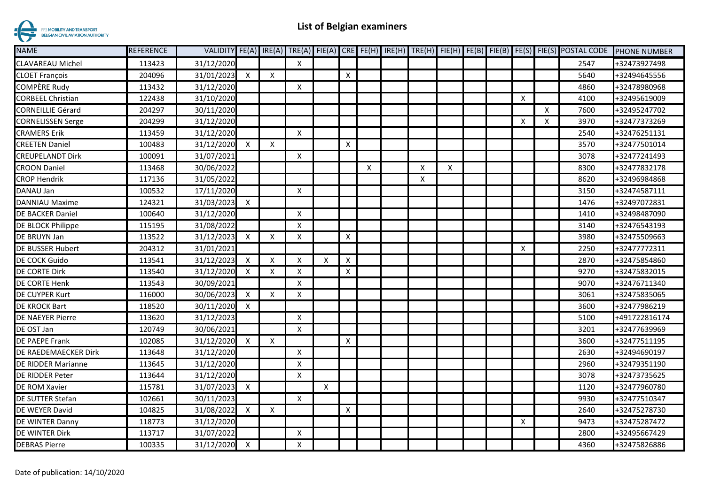

| <b>NAME</b>              | <b>REFERENCE</b> |              |                           |                           |                           |                           |                           |                |   |   |  |                           |   | VALIDITY FE(A) IRE(A) TRE(A) FIE(A) CRE FE(H) IRE(H) TRE(H) FIE(H) FE(B) FIE(B) FE(S) FIE(S) POSTAL CODE | <b>PHONE NUMBER</b> |
|--------------------------|------------------|--------------|---------------------------|---------------------------|---------------------------|---------------------------|---------------------------|----------------|---|---|--|---------------------------|---|----------------------------------------------------------------------------------------------------------|---------------------|
| <b>CLAVAREAU Michel</b>  | 113423           | 31/12/2020   |                           |                           | X                         |                           |                           |                |   |   |  |                           |   | 2547                                                                                                     | +32473927498        |
| <b>CLOET François</b>    | 204096           | 31/01/2023   | $\boldsymbol{\mathsf{X}}$ | X                         |                           |                           | $\boldsymbol{\mathsf{X}}$ |                |   |   |  |                           |   | 5640                                                                                                     | +32494645556        |
| <b>COMPÈRE Rudy</b>      | 113432           | 31/12/2020   |                           |                           | Χ                         |                           |                           |                |   |   |  |                           |   | 4860                                                                                                     | +32478980968        |
| <b>CORBEEL Christian</b> | 122438           | 31/10/2020   |                           |                           |                           |                           |                           |                |   |   |  | Χ                         |   | 4100                                                                                                     | +32495619009        |
| <b>CORNEILLIE Gérard</b> | 204297           | 30/11/2020   |                           |                           |                           |                           |                           |                |   |   |  |                           | X | 7600                                                                                                     | +32495247702        |
| <b>CORNELISSEN Serge</b> | 204299           | 31/12/2020   |                           |                           |                           |                           |                           |                |   |   |  | $\boldsymbol{\mathsf{X}}$ | X | 3970                                                                                                     | +32477373269        |
| <b>CRAMERS Erik</b>      | 113459           | 31/12/2020   |                           |                           | $\boldsymbol{\mathsf{X}}$ |                           |                           |                |   |   |  |                           |   | 2540                                                                                                     | +32476251131        |
| <b>CREETEN Daniel</b>    | 100483           | 31/12/2020   | $\mathsf{x}$              | $\mathsf{X}$              |                           |                           | Χ                         |                |   |   |  |                           |   | 3570                                                                                                     | +32477501014        |
| <b>CREUPELANDT Dirk</b>  | 100091           | 31/07/2021   |                           |                           | X                         |                           |                           |                |   |   |  |                           |   | 3078                                                                                                     | +32477241493        |
| <b>CROON Daniel</b>      | 113468           | 30/06/2022   |                           |                           |                           |                           |                           | $\pmb{\times}$ | X | X |  |                           |   | 8300                                                                                                     | +32477832178        |
| <b>CROP Hendrik</b>      | 117136           | 31/05/2022   |                           |                           |                           |                           |                           |                | Χ |   |  |                           |   | 8620                                                                                                     | +32496984868        |
| DANAU Jan                | 100532           | 17/11/2020   |                           |                           | $\boldsymbol{\mathsf{X}}$ |                           |                           |                |   |   |  |                           |   | 3150                                                                                                     | +32474587111        |
| DANNIAU Maxime           | 124321           | 31/03/2023 X |                           |                           |                           |                           |                           |                |   |   |  |                           |   | 1476                                                                                                     | +32497072831        |
| DE BACKER Daniel         | 100640           | 31/12/2020   |                           |                           | $\boldsymbol{\mathsf{x}}$ |                           |                           |                |   |   |  |                           |   | 1410                                                                                                     | +32498487090        |
| DE BLOCK Philippe        | 115195           | 31/08/2022   |                           |                           | $\boldsymbol{\mathsf{X}}$ |                           |                           |                |   |   |  |                           |   | 3140                                                                                                     | +32476543193        |
| DE BRUYN Jan             | 113522           | 31/12/2023   | X                         | $\boldsymbol{\mathsf{x}}$ | $\boldsymbol{\mathsf{X}}$ |                           | X                         |                |   |   |  |                           |   | 3980                                                                                                     | +32475509663        |
| DE BUSSER Hubert         | 204312           | 31/01/2021   |                           |                           |                           |                           |                           |                |   |   |  | $\boldsymbol{\mathsf{X}}$ |   | 2250                                                                                                     | +32477772311        |
| <b>DE COCK Guido</b>     | 113541           | 31/12/2023   | $\boldsymbol{\mathsf{X}}$ | X                         | Χ                         | $\boldsymbol{\mathsf{X}}$ | X                         |                |   |   |  |                           |   | 2870                                                                                                     | +32475854860        |
| DE CORTE Dirk            | 113540           | 31/12/2020   | X                         | X                         | x                         |                           | $\pmb{\times}$            |                |   |   |  |                           |   | 9270                                                                                                     | +32475832015        |
| DE CORTE Henk            | 113543           | 30/09/2021   |                           |                           | X                         |                           |                           |                |   |   |  |                           |   | 9070                                                                                                     | +32476711340        |
| DE CUYPER Kurt           | 116000           | 30/06/2023   | $\boldsymbol{\mathsf{x}}$ | $\boldsymbol{\mathsf{X}}$ | x                         |                           |                           |                |   |   |  |                           |   | 3061                                                                                                     | +32475835065        |
| <b>DE KROCK Bart</b>     | 118520           | 30/11/2020   | $\mathsf{X}$              |                           |                           |                           |                           |                |   |   |  |                           |   | 3600                                                                                                     | +32477986219        |
| <b>DE NAEYER Pierre</b>  | 113620           | 31/12/2023   |                           |                           | $\boldsymbol{\mathsf{X}}$ |                           |                           |                |   |   |  |                           |   | 5100                                                                                                     | +491722816174       |
| DE OST Jan               | 120749           | 30/06/2021   |                           |                           | $\boldsymbol{\mathsf{X}}$ |                           |                           |                |   |   |  |                           |   | 3201                                                                                                     | +32477639969        |
| DE PAEPE Frank           | 102085           | 31/12/2020   | X                         | $\boldsymbol{\mathsf{X}}$ |                           |                           | X                         |                |   |   |  |                           |   | 3600                                                                                                     | +32477511195        |
| DE RAEDEMAECKER Dirk     | 113648           | 31/12/2020   |                           |                           | X                         |                           |                           |                |   |   |  |                           |   | 2630                                                                                                     | +32494690197        |
| DE RIDDER Marianne       | 113645           | 31/12/2020   |                           |                           | Χ                         |                           |                           |                |   |   |  |                           |   | 2960                                                                                                     | +32479351190        |
| DE RIDDER Peter          | 113644           | 31/12/2020   |                           |                           | X                         |                           |                           |                |   |   |  |                           |   | 3078                                                                                                     | +32473735625        |
| DE ROM Xavier            | 115781           | 31/07/2023   | $\mathsf{X}$              |                           |                           | $\boldsymbol{\mathsf{X}}$ |                           |                |   |   |  |                           |   | 1120                                                                                                     | +32477960780        |
| DE SUTTER Stefan         | 102661           | 30/11/2023   |                           |                           | $\boldsymbol{\mathsf{x}}$ |                           |                           |                |   |   |  |                           |   | 9930                                                                                                     | +32477510347        |
| DE WEYER David           | 104825           | 31/08/2022   | $\mathsf{X}$              | X                         |                           |                           | Χ                         |                |   |   |  |                           |   | 2640                                                                                                     | +32475278730        |
| DE WINTER Danny          | 118773           | 31/12/2020   |                           |                           |                           |                           |                           |                |   |   |  | $\boldsymbol{\mathsf{X}}$ |   | 9473                                                                                                     | +32475287472        |
| DE WINTER Dirk           | 113717           | 31/07/2022   |                           |                           | X                         |                           |                           |                |   |   |  |                           |   | 2800                                                                                                     | +32495667429        |
| <b>DEBRAS Pierre</b>     | 100335           | 31/12/2020   | X                         |                           | Χ                         |                           |                           |                |   |   |  |                           |   | 4360                                                                                                     | +32475826886        |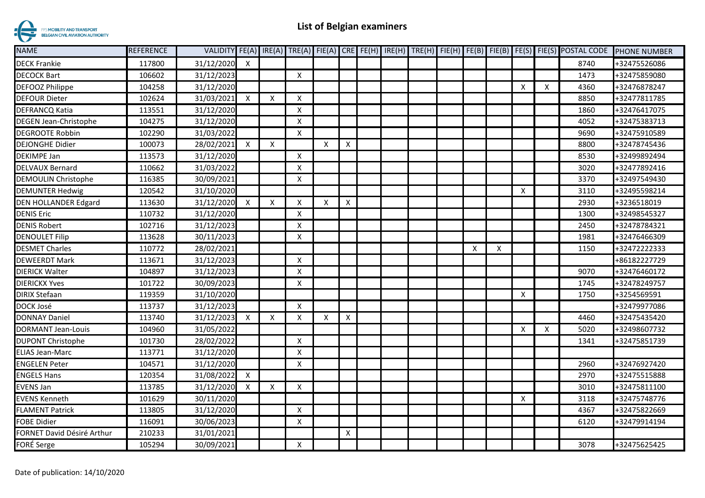

| <b>NAME</b>                  | <b>REFERENCE</b> |            |                           |                           |                           |                           |   |  |  |   |   |                           |                           | VALIDITY FE(A) IRE(A) TRE(A) FIE(A) CRE FE(H) IRE(H) TRE(H) FIE(H) FE(B) FIE(B) FE(S) FIE(S) POSTAL CODE | <b>PHONE NUMBER</b> |
|------------------------------|------------------|------------|---------------------------|---------------------------|---------------------------|---------------------------|---|--|--|---|---|---------------------------|---------------------------|----------------------------------------------------------------------------------------------------------|---------------------|
| <b>DECK Frankie</b>          | 117800           | 31/12/2020 | X                         |                           |                           |                           |   |  |  |   |   |                           |                           | 8740                                                                                                     | +32475526086        |
| <b>DECOCK Bart</b>           | 106602           | 31/12/2023 |                           |                           | $\boldsymbol{\mathsf{X}}$ |                           |   |  |  |   |   |                           |                           | 1473                                                                                                     | +32475859080        |
| <b>DEFOOZ Philippe</b>       | 104258           | 31/12/2020 |                           |                           |                           |                           |   |  |  |   |   | $\boldsymbol{\mathsf{X}}$ | $\boldsymbol{\mathsf{X}}$ | 4360                                                                                                     | +32476878247        |
| <b>DEFOUR Dieter</b>         | 102624           | 31/03/2021 | $\boldsymbol{\mathsf{X}}$ | X                         | $\boldsymbol{\mathsf{x}}$ |                           |   |  |  |   |   |                           |                           | 8850                                                                                                     | +32477811785        |
| <b>DEFRANCQ Katia</b>        | 113551           | 31/12/2020 |                           |                           | $\boldsymbol{\mathsf{X}}$ |                           |   |  |  |   |   |                           |                           | 1860                                                                                                     | +32476417075        |
| <b>DEGEN Jean-Christophe</b> | 104275           | 31/12/2020 |                           |                           | X                         |                           |   |  |  |   |   |                           |                           | 4052                                                                                                     | +32475383713        |
| <b>DEGROOTE Robbin</b>       | 102290           | 31/03/2022 |                           |                           | $\boldsymbol{\mathsf{x}}$ |                           |   |  |  |   |   |                           |                           | 9690                                                                                                     | +32475910589        |
| <b>DEJONGHE Didier</b>       | 100073           | 28/02/2021 | X                         | $\boldsymbol{\mathsf{X}}$ |                           | $\times$                  | X |  |  |   |   |                           |                           | 8800                                                                                                     | +32478745436        |
| <b>DEKIMPE Jan</b>           | 113573           | 31/12/2020 |                           |                           | $\boldsymbol{\mathsf{x}}$ |                           |   |  |  |   |   |                           |                           | 8530                                                                                                     | +32499892494        |
| <b>DELVAUX Bernard</b>       | 110662           | 31/03/2022 |                           |                           | $\times$                  |                           |   |  |  |   |   |                           |                           | 3020                                                                                                     | +32477892416        |
| DEMOULIN Christophe          | 116385           | 30/09/2021 |                           |                           | $\times$                  |                           |   |  |  |   |   |                           |                           | 3370                                                                                                     | +32497549430        |
| <b>DEMUNTER Hedwig</b>       | 120542           | 31/10/2020 |                           |                           |                           |                           |   |  |  |   |   | $\boldsymbol{\mathsf{X}}$ |                           | 3110                                                                                                     | +32495598214        |
| <b>DEN HOLLANDER Edgard</b>  | 113630           | 31/12/2020 | X                         | X                         | X                         | $\boldsymbol{\mathsf{x}}$ | X |  |  |   |   |                           |                           | 2930                                                                                                     | +3236518019         |
| <b>DENIS Eric</b>            | 110732           | 31/12/2020 |                           |                           | X                         |                           |   |  |  |   |   |                           |                           | 1300                                                                                                     | +32498545327        |
| <b>DENIS Robert</b>          | 102716           | 31/12/2023 |                           |                           | X                         |                           |   |  |  |   |   |                           |                           | 2450                                                                                                     | +32478784321        |
| <b>DENOULET Filip</b>        | 113628           | 30/11/2023 |                           |                           | $\boldsymbol{\mathsf{x}}$ |                           |   |  |  |   |   |                           |                           | 1981                                                                                                     | +32476466309        |
| <b>DESMET Charles</b>        | 110772           | 28/02/2021 |                           |                           |                           |                           |   |  |  | X | X |                           |                           | 1150                                                                                                     | +32472222333        |
| <b>DEWEERDT Mark</b>         | 113671           | 31/12/2023 |                           |                           | $\boldsymbol{\mathsf{x}}$ |                           |   |  |  |   |   |                           |                           |                                                                                                          | +86182227729        |
| <b>DIERICK Walter</b>        | 104897           | 31/12/2023 |                           |                           | X                         |                           |   |  |  |   |   |                           |                           | 9070                                                                                                     | +32476460172        |
| <b>DIERICKX Yves</b>         | 101722           | 30/09/2023 |                           |                           | $\times$                  |                           |   |  |  |   |   |                           |                           | 1745                                                                                                     | +32478249757        |
| <b>DIRIX Stefaan</b>         | 119359           | 31/10/2020 |                           |                           |                           |                           |   |  |  |   |   | $\boldsymbol{\mathsf{x}}$ |                           | 1750                                                                                                     | +3254569591         |
| DOCK José                    | 113737           | 31/12/2023 |                           |                           | $\boldsymbol{\mathsf{X}}$ |                           |   |  |  |   |   |                           |                           |                                                                                                          | +32479977086        |
| <b>DONNAY Daniel</b>         | 113740           | 31/12/2023 | X                         | X                         | X                         | X                         | Χ |  |  |   |   |                           |                           | 4460                                                                                                     | +32475435420        |
| DORMANT Jean-Louis           | 104960           | 31/05/2022 |                           |                           |                           |                           |   |  |  |   |   | $\boldsymbol{\mathsf{X}}$ | X                         | 5020                                                                                                     | +32498607732        |
| <b>DUPONT Christophe</b>     | 101730           | 28/02/2022 |                           |                           | $\boldsymbol{\mathsf{X}}$ |                           |   |  |  |   |   |                           |                           | 1341                                                                                                     | +32475851739        |
| <b>ELIAS Jean-Marc</b>       | 113771           | 31/12/2020 |                           |                           | $\times$                  |                           |   |  |  |   |   |                           |                           |                                                                                                          |                     |
| <b>ENGELEN Peter</b>         | 104571           | 31/12/2020 |                           |                           | X                         |                           |   |  |  |   |   |                           |                           | 2960                                                                                                     | +32476927420        |
| <b>ENGELS Hans</b>           | 120354           | 31/08/2022 | X                         |                           |                           |                           |   |  |  |   |   |                           |                           | 2970                                                                                                     | +32475515888        |
| <b>EVENS Jan</b>             | 113785           | 31/12/2020 | X                         | $\boldsymbol{\mathsf{X}}$ | $\boldsymbol{\mathsf{X}}$ |                           |   |  |  |   |   |                           |                           | 3010                                                                                                     | +32475811100        |
| <b>EVENS Kenneth</b>         | 101629           | 30/11/2020 |                           |                           |                           |                           |   |  |  |   |   | $\boldsymbol{\mathsf{x}}$ |                           | 3118                                                                                                     | +32475748776        |
| <b>FLAMENT Patrick</b>       | 113805           | 31/12/2020 |                           |                           | X                         |                           |   |  |  |   |   |                           |                           | 4367                                                                                                     | +32475822669        |
| FOBE Didier                  | 116091           | 30/06/2023 |                           |                           | X                         |                           |   |  |  |   |   |                           |                           | 6120                                                                                                     | +32479914194        |
| FORNET David Désiré Arthur   | 210233           | 31/01/2021 |                           |                           |                           |                           | X |  |  |   |   |                           |                           |                                                                                                          |                     |
| FORÉ Serge                   | 105294           | 30/09/2021 |                           |                           | $\boldsymbol{\mathsf{X}}$ |                           |   |  |  |   |   |                           |                           | 3078                                                                                                     | +32475625425        |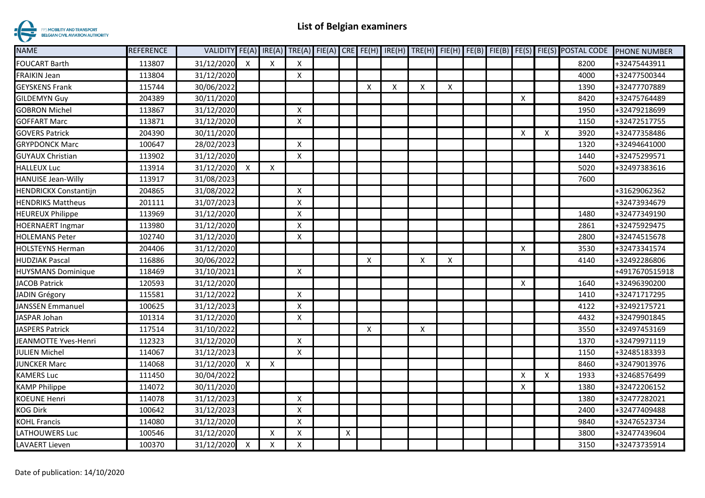

| <b>NAME</b>                 | <b>REFERENCE</b> | VALIDITY FE(A) IRE(A) |   |          |                           |   |   |   |   |   |  |                           |                           | TRE(A) FIE(A) CRE FE(H) IRE(H) TRE(H) FIE(H) FE(B) FIE(B) FE(S) FIE(S) POSTAL CODE | <b>PHONE NUMBER</b> |
|-----------------------------|------------------|-----------------------|---|----------|---------------------------|---|---|---|---|---|--|---------------------------|---------------------------|------------------------------------------------------------------------------------|---------------------|
| <b>FOUCART Barth</b>        | 113807           | 31/12/2020            | X | X        | X                         |   |   |   |   |   |  |                           |                           | 8200                                                                               | +32475443911        |
| FRAIKIN Jean                | 113804           | 31/12/2020            |   |          | X                         |   |   |   |   |   |  |                           |                           | 4000                                                                               | +32477500344        |
| <b>GEYSKENS Frank</b>       | 115744           | 30/06/2022            |   |          |                           |   | X | X | X | X |  |                           |                           | 1390                                                                               | +32477707889        |
| <b>GILDEMYN Guy</b>         | 204389           | 30/11/2020            |   |          |                           |   |   |   |   |   |  | $\boldsymbol{\mathsf{x}}$ |                           | 8420                                                                               | +32475764489        |
| <b>GOBRON Michel</b>        | 113867           | 31/12/2020            |   |          | Χ                         |   |   |   |   |   |  |                           |                           | 1950                                                                               | +32479218699        |
| <b>GOFFART Marc</b>         | 113871           | 31/12/2020            |   |          | X                         |   |   |   |   |   |  |                           |                           | 1150                                                                               | +32472517755        |
| <b>GOVERS Patrick</b>       | 204390           | 30/11/2020            |   |          |                           |   |   |   |   |   |  | $\boldsymbol{\mathsf{X}}$ | X                         | 3920                                                                               | +32477358486        |
| <b>GRYPDONCK Marc</b>       | 100647           | 28/02/2023            |   |          | X                         |   |   |   |   |   |  |                           |                           | 1320                                                                               | +32494641000        |
| <b>GUYAUX Christian</b>     | 113902           | 31/12/2020            |   |          | X                         |   |   |   |   |   |  |                           |                           | 1440                                                                               | +32475299571        |
| <b>HALLEUX Luc</b>          | 113914           | 31/12/2020            | X | X        |                           |   |   |   |   |   |  |                           |                           | 5020                                                                               | +32497383616        |
| <b>HANUISE Jean-Willy</b>   | 113917           | 31/08/2023            |   |          |                           |   |   |   |   |   |  |                           |                           | 7600                                                                               |                     |
| HENDRICKX Constantijn       | 204865           | 31/08/2022            |   |          | $\boldsymbol{\mathsf{X}}$ |   |   |   |   |   |  |                           |                           |                                                                                    | +31629062362        |
| <b>HENDRIKS Mattheus</b>    | 201111           | 31/07/2023            |   |          | X                         |   |   |   |   |   |  |                           |                           |                                                                                    | +32473934679        |
| <b>HEUREUX Philippe</b>     | 113969           | 31/12/2020            |   |          | X                         |   |   |   |   |   |  |                           |                           | 1480                                                                               | +32477349190        |
| <b>HOERNAERT Ingmar</b>     | 113980           | 31/12/2020            |   |          | $\times$                  |   |   |   |   |   |  |                           |                           | 2861                                                                               | +32475929475        |
| <b>HOLEMANS Peter</b>       | 102740           | 31/12/2020            |   |          | X                         |   |   |   |   |   |  |                           |                           | 2800                                                                               | +32474515678        |
| <b>HOLSTEYNS Herman</b>     | 204406           | 31/12/2020            |   |          |                           |   |   |   |   |   |  | $\boldsymbol{\mathsf{X}}$ |                           | 3530                                                                               | +32473341574        |
| <b>HUDZIAK Pascal</b>       | 116886           | 30/06/2022            |   |          |                           |   | X |   | Χ | X |  |                           |                           | 4140                                                                               | +32492286806        |
| <b>HUYSMANS Dominique</b>   | 118469           | 31/10/2021            |   |          | X                         |   |   |   |   |   |  |                           |                           |                                                                                    | +4917670515918      |
| JACOB Patrick               | 120593           | 31/12/2020            |   |          |                           |   |   |   |   |   |  | $\boldsymbol{\mathsf{X}}$ |                           | 1640                                                                               | +32496390200        |
| JADIN Grégory               | 115581           | 31/12/2022            |   |          | Χ                         |   |   |   |   |   |  |                           |                           | 1410                                                                               | +32471717295        |
| <b>JANSSEN Emmanuel</b>     | 100625           | 31/12/2023            |   |          | Χ                         |   |   |   |   |   |  |                           |                           | 4122                                                                               | +32492175721        |
| <b>JASPAR Johan</b>         | 101314           | 31/12/2020            |   |          | X                         |   |   |   |   |   |  |                           |                           | 4432                                                                               | +32479901845        |
| <b>JASPERS Patrick</b>      | 117514           | 31/10/2022            |   |          |                           |   | X |   | X |   |  |                           |                           | 3550                                                                               | +32497453169        |
| <b>JEANMOTTE Yves-Henri</b> | 112323           | 31/12/2020            |   |          | Χ                         |   |   |   |   |   |  |                           |                           | 1370                                                                               | +32479971119        |
| JULIEN Michel               | 114067           | 31/12/2023            |   |          | Χ                         |   |   |   |   |   |  |                           |                           | 1150                                                                               | +32485183393        |
| <b>JUNCKER Marc</b>         | 114068           | 31/12/2020            | X | X        |                           |   |   |   |   |   |  |                           |                           | 8460                                                                               | +32479013976        |
| KAMERS Luc                  | 111450           | 30/04/2022            |   |          |                           |   |   |   |   |   |  | $\boldsymbol{\mathsf{x}}$ | $\boldsymbol{\mathsf{X}}$ | 1933                                                                               | +32468576499        |
| <b>KAMP Philippe</b>        | 114072           | 30/11/2020            |   |          |                           |   |   |   |   |   |  | $\boldsymbol{\mathsf{X}}$ |                           | 1380                                                                               | +32472206152        |
| KOEUNE Henri                | 114078           | 31/12/2023            |   |          | Χ                         |   |   |   |   |   |  |                           |                           | 1380                                                                               | +32477282021        |
| KOG Dirk                    | 100642           | 31/12/2023            |   |          | X                         |   |   |   |   |   |  |                           |                           | 2400                                                                               | +32477409488        |
| KOHL Francis                | 114080           | 31/12/2020            |   |          | Χ                         |   |   |   |   |   |  |                           |                           | 9840                                                                               | +32476523734        |
| LATHOUWERS Luc              | 100546           | 31/12/2020            |   | $\times$ | х                         | X |   |   |   |   |  |                           |                           | 3800                                                                               | +32477439604        |
| <b>LAVAERT Lieven</b>       | 100370           | 31/12/2020            | X | X        | X                         |   |   |   |   |   |  |                           |                           | 3150                                                                               | +32473735914        |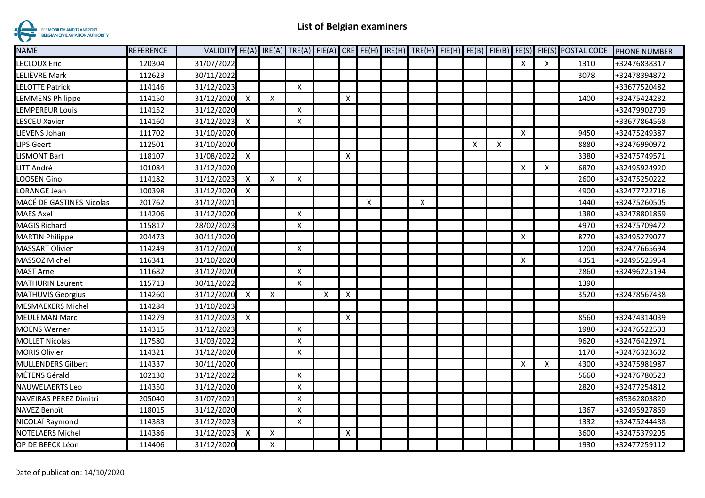

| <b>NAME</b>                   | <b>REFERENCE</b> |            |              |                           |                           |                           |              |   |   |   |   |                           |                           | VALIDITY FE(A) IRE(A) TRE(A) FIE(A) CRE FE(H) IRE(H) TRE(H) FIE(H) FE(B) FIE(B) FE(S) FIE(S) POSTAL CODE | <b>PHONE NUMBER</b> |
|-------------------------------|------------------|------------|--------------|---------------------------|---------------------------|---------------------------|--------------|---|---|---|---|---------------------------|---------------------------|----------------------------------------------------------------------------------------------------------|---------------------|
| LECLOUX Eric                  | 120304           | 31/07/2022 |              |                           |                           |                           |              |   |   |   |   | X                         | $\boldsymbol{\mathsf{X}}$ | 1310                                                                                                     | +32476838317        |
| LELIÈVRE Mark                 | 112623           | 30/11/2022 |              |                           |                           |                           |              |   |   |   |   |                           |                           | 3078                                                                                                     | +32478394872        |
| <b>LELOTTE Patrick</b>        | 114146           | 31/12/2023 |              |                           | X                         |                           |              |   |   |   |   |                           |                           |                                                                                                          | +33677520482        |
| LEMMENS Philippe              | 114150           | 31/12/2020 | X            | X                         |                           |                           | Χ            |   |   |   |   |                           |                           | 1400                                                                                                     | +32475424282        |
| LEMPEREUR Louis               | 114152           | 31/12/2020 |              |                           | X                         |                           |              |   |   |   |   |                           |                           |                                                                                                          | +32479902709        |
| LESCEU Xavier                 | 114160           | 31/12/2023 | X            |                           | Χ                         |                           |              |   |   |   |   |                           |                           |                                                                                                          | +33677864568        |
| LIEVENS Johan                 | 111702           | 31/10/2020 |              |                           |                           |                           |              |   |   |   |   | $\boldsymbol{\mathsf{X}}$ |                           | 9450                                                                                                     | +32475249387        |
| LIPS Geert                    | 112501           | 31/10/2020 |              |                           |                           |                           |              |   |   | X | Χ |                           |                           | 8880                                                                                                     | +32476990972        |
| LISMONT Bart                  | 118107           | 31/08/2022 | $\mathsf{x}$ |                           |                           |                           | X            |   |   |   |   |                           |                           | 3380                                                                                                     | +32475749571        |
| LITT André                    | 101084           | 31/12/2020 |              |                           |                           |                           |              |   |   |   |   | $\boldsymbol{\mathsf{X}}$ | $\boldsymbol{\mathsf{X}}$ | 6870                                                                                                     | +32495924920        |
| LOOSEN Gino                   | 114182           | 31/12/2023 | X            | $\boldsymbol{\mathsf{X}}$ | X                         |                           |              |   |   |   |   |                           |                           | 2600                                                                                                     | +32475250222        |
| LORANGE Jean                  | 100398           | 31/12/2020 | X            |                           |                           |                           |              |   |   |   |   |                           |                           | 4900                                                                                                     | +32477722716        |
| MACÉ DE GASTINES Nicolas      | 201762           | 31/12/2021 |              |                           |                           |                           |              | X | X |   |   |                           |                           | 1440                                                                                                     | +32475260505        |
| <b>MAES Axel</b>              | 114206           | 31/12/2020 |              |                           | X                         |                           |              |   |   |   |   |                           |                           | 1380                                                                                                     | +32478801869        |
| <b>MAGIS Richard</b>          | 115817           | 28/02/2023 |              |                           | X                         |                           |              |   |   |   |   |                           |                           | 4970                                                                                                     | +32475709472        |
| <b>MARTIN Philippe</b>        | 204473           | 30/11/2020 |              |                           |                           |                           |              |   |   |   |   | $\boldsymbol{\mathsf{X}}$ |                           | 8770                                                                                                     | +32495279077        |
| <b>MASSART Olivier</b>        | 114249           | 31/12/2020 |              |                           | X                         |                           |              |   |   |   |   |                           |                           | 1200                                                                                                     | +32477665694        |
| MASSOZ Michel                 | 116341           | 31/10/2020 |              |                           |                           |                           |              |   |   |   |   | $\pmb{\times}$            |                           | 4351                                                                                                     | +32495525954        |
| MAST Arne                     | 111682           | 31/12/2020 |              |                           | X                         |                           |              |   |   |   |   |                           |                           | 2860                                                                                                     | +32496225194        |
| <b>MATHURIN Laurent</b>       | 115713           | 30/11/2022 |              |                           | X                         |                           |              |   |   |   |   |                           |                           | 1390                                                                                                     |                     |
| <b>MATHUVIS Georgius</b>      | 114260           | 31/12/2020 | Χ            | X                         |                           | $\boldsymbol{\mathsf{X}}$ | X            |   |   |   |   |                           |                           | 3520                                                                                                     | +32478567438        |
| <b>MESMAEKERS Michel</b>      | 114284           | 31/10/2023 |              |                           |                           |                           |              |   |   |   |   |                           |                           |                                                                                                          |                     |
| <b>MEULEMAN Marc</b>          | 114279           | 31/12/2023 | $\mathsf{x}$ |                           |                           |                           | $\mathsf{X}$ |   |   |   |   |                           |                           | 8560                                                                                                     | +32474314039        |
| MOENS Werner                  | 114315           | 31/12/2023 |              |                           | $\boldsymbol{\mathsf{X}}$ |                           |              |   |   |   |   |                           |                           | 1980                                                                                                     | +32476522503        |
| <b>MOLLET Nicolas</b>         | 117580           | 31/03/2022 |              |                           | X                         |                           |              |   |   |   |   |                           |                           | 9620                                                                                                     | +32476422971        |
| <b>MORIS Olivier</b>          | 114321           | 31/12/2020 |              |                           | X                         |                           |              |   |   |   |   |                           |                           | 1170                                                                                                     | +32476323602        |
| <b>MULLENDERS Gilbert</b>     | 114337           | 30/11/2020 |              |                           |                           |                           |              |   |   |   |   | X                         | $\boldsymbol{\mathsf{X}}$ | 4300                                                                                                     | +32475981987        |
| MÉTENS Gérald                 | 102130           | 31/12/2022 |              |                           | $\pmb{\mathsf{X}}$        |                           |              |   |   |   |   |                           |                           | 5660                                                                                                     | +32476780523        |
| <b>NAUWELAERTS Leo</b>        | 114350           | 31/12/2020 |              |                           | $\pmb{\mathsf{X}}$        |                           |              |   |   |   |   |                           |                           | 2820                                                                                                     | +32477254812        |
| <b>NAVEIRAS PEREZ Dimitri</b> | 205040           | 31/07/2021 |              |                           | X                         |                           |              |   |   |   |   |                           |                           |                                                                                                          | +85362803820        |
| NAVEZ Benoît                  | 118015           | 31/12/2020 |              |                           | X                         |                           |              |   |   |   |   |                           |                           | 1367                                                                                                     | +32495927869        |
| NICOLAÏ Raymond               | 114383           | 31/12/2023 |              |                           | $\pmb{\mathsf{X}}$        |                           |              |   |   |   |   |                           |                           | 1332                                                                                                     | +32475244488        |
| <b>NOTELAERS Michel</b>       | 114386           | 31/12/2023 | X            | $\boldsymbol{\mathsf{X}}$ |                           |                           | X            |   |   |   |   |                           |                           | 3600                                                                                                     | +32475379205        |
| OP DE BEECK Léon              | 114406           | 31/12/2020 |              | X                         |                           |                           |              |   |   |   |   |                           |                           | 1930                                                                                                     | +32477259112        |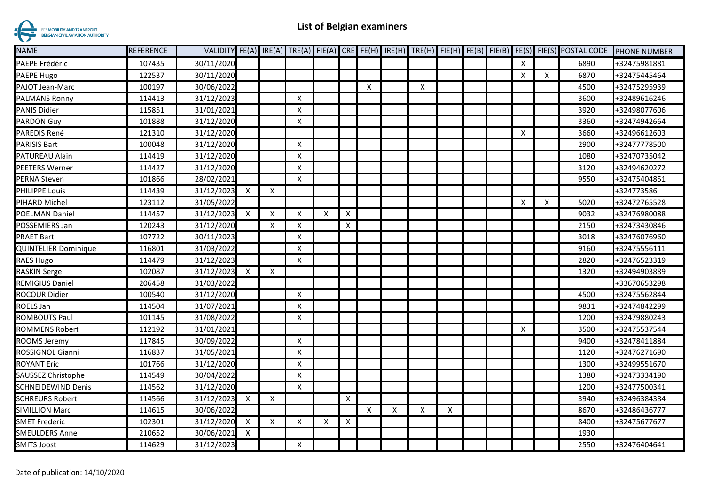

| <b>NAME</b>                 | <b>REFERENCE</b> |            |                           |                           |                           |   |                           |   |                           |   |                    |  |                           |   | VALIDITY FE(A) IRE(A) TRE(A) FIE(A) CRE FE(H) IRE(H) TRE(H) FIE(H) FE(B) FIE(B) FE(S) FIE(S) POSTAL CODE | <b>PHONE NUMBER</b> |
|-----------------------------|------------------|------------|---------------------------|---------------------------|---------------------------|---|---------------------------|---|---------------------------|---|--------------------|--|---------------------------|---|----------------------------------------------------------------------------------------------------------|---------------------|
| PAEPE Frédéric              | 107435           | 30/11/2020 |                           |                           |                           |   |                           |   |                           |   |                    |  | $\boldsymbol{\mathsf{X}}$ |   | 6890                                                                                                     | +32475981881        |
| PAEPE Hugo                  | 122537           | 30/11/2020 |                           |                           |                           |   |                           |   |                           |   |                    |  | $\boldsymbol{\mathsf{X}}$ | X | 6870                                                                                                     | +32475445464        |
| PAJOT Jean-Marc             | 100197           | 30/06/2022 |                           |                           |                           |   |                           | Χ |                           | X |                    |  |                           |   | 4500                                                                                                     | +32475295939        |
| <b>PALMANS Ronny</b>        | 114413           | 31/12/2023 |                           |                           | Χ                         |   |                           |   |                           |   |                    |  |                           |   | 3600                                                                                                     | +32489616246        |
| <b>PANIS Didier</b>         | 115851           | 31/01/2021 |                           |                           | Χ                         |   |                           |   |                           |   |                    |  |                           |   | 3920                                                                                                     | +32498077606        |
| <b>PARDON Guy</b>           | 101888           | 31/12/2020 |                           |                           | Χ                         |   |                           |   |                           |   |                    |  |                           |   | 3360                                                                                                     | +32474942664        |
| PAREDIS René                | 121310           | 31/12/2020 |                           |                           |                           |   |                           |   |                           |   |                    |  | $\boldsymbol{\mathsf{X}}$ |   | 3660                                                                                                     | +32496612603        |
| <b>PARISIS Bart</b>         | 100048           | 31/12/2020 |                           |                           | $\boldsymbol{\mathsf{X}}$ |   |                           |   |                           |   |                    |  |                           |   | 2900                                                                                                     | +32477778500        |
| PATUREAU Alain              | 114419           | 31/12/2020 |                           |                           | $\boldsymbol{\mathsf{x}}$ |   |                           |   |                           |   |                    |  |                           |   | 1080                                                                                                     | +32470735042        |
| <b>PEETERS Werner</b>       | 114427           | 31/12/2020 |                           |                           | Χ                         |   |                           |   |                           |   |                    |  |                           |   | 3120                                                                                                     | +32494620272        |
| PERNA Steven                | 101866           | 28/02/2021 |                           |                           | $\boldsymbol{\mathsf{x}}$ |   |                           |   |                           |   |                    |  |                           |   | 9550                                                                                                     | +32475404851        |
| <b>PHILIPPE Louis</b>       | 114439           | 31/12/2023 | $\mathsf{X}$              | $\boldsymbol{\mathsf{X}}$ |                           |   |                           |   |                           |   |                    |  |                           |   |                                                                                                          | +324773586          |
| PIHARD Michel               | 123112           | 31/05/2022 |                           |                           |                           |   |                           |   |                           |   |                    |  | $\boldsymbol{\mathsf{X}}$ | X | 5020                                                                                                     | +32472765528        |
| <b>POELMAN Daniel</b>       | 114457           | 31/12/2023 | $\boldsymbol{\mathsf{X}}$ | x                         | X                         | X | Χ                         |   |                           |   |                    |  |                           |   | 9032                                                                                                     | +32476980088        |
| POSSEMIERS Jan              | 120243           | 31/12/2020 |                           | X                         | $\times$                  |   | X                         |   |                           |   |                    |  |                           |   | 2150                                                                                                     | +32473430846        |
| <b>PRAET Bart</b>           | 107722           | 30/11/2023 |                           |                           | $\boldsymbol{\mathsf{X}}$ |   |                           |   |                           |   |                    |  |                           |   | 3018                                                                                                     | +32476076960        |
| <b>QUINTELIER Dominique</b> | 116801           | 31/03/2022 |                           |                           | $\boldsymbol{\mathsf{x}}$ |   |                           |   |                           |   |                    |  |                           |   | 9160                                                                                                     | +32475556111        |
| <b>RAES Hugo</b>            | 114479           | 31/12/2023 |                           |                           | $\boldsymbol{\mathsf{X}}$ |   |                           |   |                           |   |                    |  |                           |   | 2820                                                                                                     | +32476523319        |
| <b>RASKIN Serge</b>         | 102087           | 31/12/2023 | $\boldsymbol{\mathsf{X}}$ | $\boldsymbol{\mathsf{x}}$ |                           |   |                           |   |                           |   |                    |  |                           |   | 1320                                                                                                     | +32494903889        |
| <b>REMIGIUS Daniel</b>      | 206458           | 31/03/2022 |                           |                           |                           |   |                           |   |                           |   |                    |  |                           |   |                                                                                                          | +33670653298        |
| <b>ROCOUR Didier</b>        | 100540           | 31/12/2020 |                           |                           | $\times$                  |   |                           |   |                           |   |                    |  |                           |   | 4500                                                                                                     | +32475562844        |
| ROELS Jan                   | 114504           | 31/07/2021 |                           |                           | $\boldsymbol{\mathsf{x}}$ |   |                           |   |                           |   |                    |  |                           |   | 9831                                                                                                     | +32474842299        |
| ROMBOUTS Paul               | 101145           | 31/08/2022 |                           |                           | X                         |   |                           |   |                           |   |                    |  |                           |   | 1200                                                                                                     | +32479880243        |
| <b>ROMMENS Robert</b>       | 112192           | 31/01/2021 |                           |                           |                           |   |                           |   |                           |   |                    |  | $\boldsymbol{\mathsf{X}}$ |   | 3500                                                                                                     | +32475537544        |
| ROOMS Jeremy                | 117845           | 30/09/2022 |                           |                           | $\boldsymbol{\mathsf{X}}$ |   |                           |   |                           |   |                    |  |                           |   | 9400                                                                                                     | +32478411884        |
| ROSSIGNOL Gianni            | 116837           | 31/05/2021 |                           |                           | Χ                         |   |                           |   |                           |   |                    |  |                           |   | 1120                                                                                                     | +32476271690        |
| <b>ROYANT Eric</b>          | 101766           | 31/12/2020 |                           |                           | $\boldsymbol{\mathsf{x}}$ |   |                           |   |                           |   |                    |  |                           |   | 1300                                                                                                     | +32499551670        |
| SAUSSEZ Christophe          | 114549           | 30/04/2022 |                           |                           | Χ                         |   |                           |   |                           |   |                    |  |                           |   | 1380                                                                                                     | +32473334190        |
| <b>SCHNEIDEWIND Denis</b>   | 114562           | 31/12/2020 |                           |                           | $\boldsymbol{\mathsf{x}}$ |   |                           |   |                           |   |                    |  |                           |   | 1200                                                                                                     | +32477500341        |
| <b>SCHREURS Robert</b>      | 114566           | 31/12/2023 | $\boldsymbol{\mathsf{X}}$ | $\boldsymbol{\mathsf{X}}$ |                           |   | $\boldsymbol{\mathsf{X}}$ |   |                           |   |                    |  |                           |   | 3940                                                                                                     | +32496384384        |
| <b>SIMILLION Marc</b>       | 114615           | 30/06/2022 |                           |                           |                           |   |                           | Χ | $\boldsymbol{\mathsf{X}}$ | X | $\pmb{\mathsf{X}}$ |  |                           |   | 8670                                                                                                     | +32486436777        |
| <b>SMET Frederic</b>        | 102301           | 31/12/2020 | $\boldsymbol{\mathsf{X}}$ | $\boldsymbol{\mathsf{x}}$ | x                         | X | X                         |   |                           |   |                    |  |                           |   | 8400                                                                                                     | +32475677677        |
| <b>SMEULDERS Anne</b>       | 210652           | 30/06/2021 | X                         |                           |                           |   |                           |   |                           |   |                    |  |                           |   | 1930                                                                                                     |                     |
| <b>SMITS Joost</b>          | 114629           | 31/12/2023 |                           |                           | $\boldsymbol{\mathsf{X}}$ |   |                           |   |                           |   |                    |  |                           |   | 2550                                                                                                     | +32476404641        |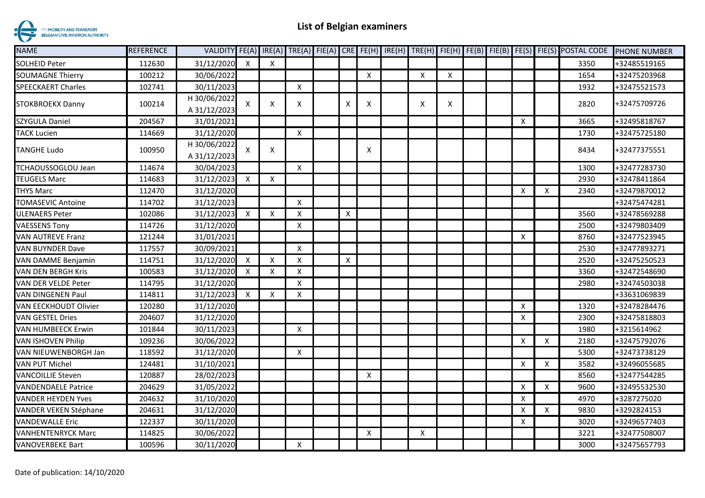

| <b>NAME</b>                | REFERENCE |              |              |                           |                           |   |   |   |   |  |                           |                           | VALIDITY FE(A) IRE(A) TRE(A) FIE(A) CRE FE(H) IRE(H) TRE(H) FIE(H) FE(B) FIE(B) FE(S) FIE(S) POSTAL CODE | <b>PHONE NUMBER</b> |
|----------------------------|-----------|--------------|--------------|---------------------------|---------------------------|---|---|---|---|--|---------------------------|---------------------------|----------------------------------------------------------------------------------------------------------|---------------------|
| <b>SOLHEID Peter</b>       | 112630    | 31/12/2020   | X            | $\pmb{\times}$            |                           |   |   |   |   |  |                           |                           | 3350                                                                                                     | +32485519165        |
| <b>SOUMAGNE Thierry</b>    | 100212    | 30/06/2022   |              |                           |                           |   | X | X | X |  |                           |                           | 1654                                                                                                     | +32475203968        |
| <b>SPEECKAERT Charles</b>  | 102741    | 30/11/2023   |              |                           | X                         |   |   |   |   |  |                           |                           | 1932                                                                                                     | +32475521573        |
| STOKBROEKX Danny           | 100214    | H 30/06/2022 | X            | X                         | X                         | x | X | X | X |  |                           |                           | 2820                                                                                                     | +32475709726        |
|                            |           | A 31/12/2023 |              |                           |                           |   |   |   |   |  |                           |                           |                                                                                                          |                     |
| SZYGULA Daniel             | 204567    | 31/01/2021   |              |                           |                           |   |   |   |   |  | $\boldsymbol{\mathsf{X}}$ |                           | 3665                                                                                                     | +32495818767        |
| <b>TACK Lucien</b>         | 114669    | 31/12/2020   |              |                           | $\pmb{\times}$            |   |   |   |   |  |                           |                           | 1730                                                                                                     | +32475725180        |
| <b>TANGHE Ludo</b>         | 100950    | H 30/06/2022 | X            | Х                         |                           |   | Χ |   |   |  |                           |                           | 8434                                                                                                     | +32477375551        |
|                            |           | A 31/12/2023 |              |                           |                           |   |   |   |   |  |                           |                           |                                                                                                          |                     |
| TCHAOUSSOGLOU Jean         | 114674    | 30/04/2023   |              |                           | $\boldsymbol{\mathsf{X}}$ |   |   |   |   |  |                           |                           | 1300                                                                                                     | +32477283730        |
| <b>TEUGELS Marc</b>        | 114683    | 31/12/2023   | $\mathsf{x}$ | $\boldsymbol{\mathsf{X}}$ |                           |   |   |   |   |  |                           |                           | 2930                                                                                                     | +32478411864        |
| <b>THYS Marc</b>           | 112470    | 31/12/2020   |              |                           |                           |   |   |   |   |  | $\boldsymbol{\mathsf{X}}$ | $\mathsf{X}$              | 2340                                                                                                     | +32479870012        |
| <b>TOMASEVIC Antoine</b>   | 114702    | 31/12/2023   |              |                           | $\boldsymbol{\mathsf{X}}$ |   |   |   |   |  |                           |                           |                                                                                                          | +32475474281        |
| <b>ULENAERS Peter</b>      | 102086    | 31/12/2023   | X            | X                         | Χ                         | X |   |   |   |  |                           |                           | 3560                                                                                                     | +32478569288        |
| <b>VAESSENS Tony</b>       | 114726    | 31/12/2020   |              |                           | X                         |   |   |   |   |  |                           |                           | 2500                                                                                                     | +32479803409        |
| <b>VAN AUTREVE Franz</b>   | 121244    | 31/01/2021   |              |                           |                           |   |   |   |   |  | $\boldsymbol{\mathsf{X}}$ |                           | 8760                                                                                                     | +32477523945        |
| <b>VAN BUYNDER Dave</b>    | 117557    | 30/09/2021   |              |                           | $\boldsymbol{\mathsf{x}}$ |   |   |   |   |  |                           |                           | 2530                                                                                                     | +32477893271        |
| VAN DAMME Benjamin         | 114751    | 31/12/2020   | X            | $\boldsymbol{\mathsf{x}}$ | X                         | X |   |   |   |  |                           |                           | 2520                                                                                                     | +32475250523        |
| <b>VAN DEN BERGH Kris</b>  | 100583    | 31/12/2020   | X            | Χ                         | Χ                         |   |   |   |   |  |                           |                           | 3360                                                                                                     | +32472548690        |
| VAN DER VELDE Peter        | 114795    | 31/12/2020   |              |                           | X                         |   |   |   |   |  |                           |                           | 2980                                                                                                     | +32474503038        |
| VAN DINGENEN Paul          | 114811    | 31/12/2023   | X            | $\pmb{\times}$            | x                         |   |   |   |   |  |                           |                           |                                                                                                          | +33631069839        |
| VAN EECKHOUDT Olivier      | 120280    | 31/12/2020   |              |                           |                           |   |   |   |   |  | $\boldsymbol{\mathsf{X}}$ |                           | 1320                                                                                                     | +32478284476        |
| <b>VAN GESTEL Dries</b>    | 204607    | 31/12/2020   |              |                           |                           |   |   |   |   |  | Χ                         |                           | 2300                                                                                                     | +32475818803        |
| VAN HUMBEECK Erwin         | 101844    | 30/11/2023   |              |                           | X                         |   |   |   |   |  |                           |                           | 1980                                                                                                     | +3215614962         |
| <b>VAN ISHOVEN Philip</b>  | 109236    | 30/06/2022   |              |                           |                           |   |   |   |   |  | $\boldsymbol{\mathsf{X}}$ | $\times$                  | 2180                                                                                                     | +32475792076        |
| VAN NIEUWENBORGH Jan       | 118592    | 31/12/2020   |              |                           | $\times$                  |   |   |   |   |  |                           |                           | 5300                                                                                                     | +32473738129        |
| <b>VAN PUT Michel</b>      | 124481    | 31/10/2021   |              |                           |                           |   |   |   |   |  | $\boldsymbol{\mathsf{X}}$ | X                         | 3582                                                                                                     | +32496055685        |
| <b>VANCOILLIE Steven</b>   | 120887    | 28/02/2023   |              |                           |                           |   | X |   |   |  |                           |                           | 8560                                                                                                     | +32477544285        |
| <b>VANDENDAELE Patrice</b> | 204629    | 31/05/2022   |              |                           |                           |   |   |   |   |  | $\boldsymbol{\mathsf{X}}$ | $\boldsymbol{\mathsf{X}}$ | 9600                                                                                                     | +32495532530        |
| <b>VANDER HEYDEN Yves</b>  | 204632    | 31/10/2020   |              |                           |                           |   |   |   |   |  | $\boldsymbol{\mathsf{X}}$ |                           | 4970                                                                                                     | +3287275020         |
| VANDER VEKEN Stéphane      | 204631    | 31/12/2020   |              |                           |                           |   |   |   |   |  | $\boldsymbol{\mathsf{X}}$ | X                         | 9830                                                                                                     | +3292824153         |
| <b>VANDEWALLE Eric</b>     | 122337    | 30/11/2020   |              |                           |                           |   |   |   |   |  | X                         |                           | 3020                                                                                                     | +32496577403        |
| VANHENTENRYCK Marc         | 114825    | 30/06/2022   |              |                           |                           |   | X | X |   |  |                           |                           | 3221                                                                                                     | +32477508007        |
| VANOVERBEKE Bart           | 100596    | 30/11/2020   |              |                           | X                         |   |   |   |   |  |                           |                           | 3000                                                                                                     | +32475657793        |